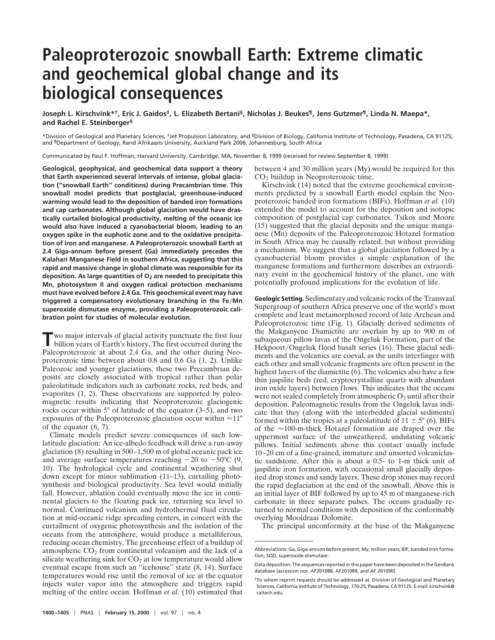## **Paleoproterozoic snowball Earth: Extreme climatic and geochemical global change and its biological consequences**

**Joseph L. Kirschvink\*†, Eric J. Gaidos‡, L. Elizabeth Bertani§, Nicholas J. Beukes¶, Jens Gutzmer¶, Linda N. Maepa\*, and Rachel E. Steinberger§**

\*Division of Geological and Planetary Sciences, ‡Jet Propulsion Laboratory, and §Division of Biology, California Institute of Technology, Pasadena, CA 91125; and ¶Department of Geology, Rand Afrikaans University, Auckland Park 2006, Johannesburg, South Africa

Communicated by Paul F. Hoffman, Harvard University, Cambridge, MA, November 8, 1999 (received for review September 8, 1999)

**Geological, geophysical, and geochemical data support a theory that Earth experienced several intervals of intense, global glaciation (''snowball Earth'' conditions) during Precambrian time. This snowball model predicts that postglacial, greenhouse-induced warming would lead to the deposition of banded iron formations and cap carbonates. Although global glaciation would have drastically curtailed biological productivity, melting of the oceanic ice would also have induced a cyanobacterial bloom, leading to an oxygen spike in the euphotic zone and to the oxidative precipitation of iron and manganese. A Paleoproterozoic snowball Earth at 2.4 Giga-annum before present (Ga) immediately precedes the Kalahari Manganese Field in southern Africa, suggesting that this rapid and massive change in global climate was responsible for its deposition. As large quantities of O2 are needed to precipitate this Mn, photosystem II and oxygen radical protection mechanisms must have evolved before 2.4 Ga. This geochemical event may have triggered a compensatory evolutionary branching in the Fe**y**Mn superoxide dismutase enzyme, providing a Paleoproterozoic calibration point for studies of molecular evolution.**

**T**wo major intervals of glacial activity punctuate the first four billion years of Earth's history. The first occurred during the Paleoproterozoic at about 2.4 Ga, and the other during Neoproterozoic time between about 0.8 and 0.6 Ga (1, 2). Unlike Paleozoic and younger glaciations, these two Precambrian deposits are closely associated with tropical rather than polar paleolatitude indicators such as carbonate rocks, red beds, and evaporites (1, 2). These observations are supported by paleomagnetic results indicating that Neoproterozoic glaciogenic rocks occur within  $5^\circ$  of latitude of the equator  $(3-5)$ , and two exposures of the Paleoproterozoic glaciation occur within  $\approx 11^{\circ}$ of the equator (6, 7).

Climate models predict severe consequences of such lowlatitude glaciation: An ice-albedo feedback will drive a run-away glaciation (8) resulting in 500–1,500 m of global oceanic pack ice and average surface temperatures reaching  $-20$  to  $-50^{\circ}$ C (9, 10). The hydrological cycle and continental weathering shut down except for minor sublimation (11–13), curtailing photosynthesis and biological productivity. Sea level would initially fall. However, ablation could eventually move the ice in continental glaciers to the floating pack ice, returning sea level to normal. Continued volcanism and hydrothermal fluid circulation at mid-oceanic ridge spreading centers, in concert with the curtailment of oxygenic photosynthesis and the isolation of the oceans from the atmosphere, would produce a metalliferous, reducing ocean chemistry. The greenhouse effect of a buildup of atmospheric  $CO<sub>2</sub>$  from continental volcanism and the lack of a silicate weathering sink for  $CO<sub>2</sub>$  at low temperature would allow eventual escape from such an "icehouse" state (8, 14). Surface temperatures would rise until the removal of ice at the equator injects water vapor into the atmosphere and triggers rapid melting of the entire ocean. Hoffman *et al.* (10) estimated that between 4 and 30 million years (My) would be required for this CO<sub>2</sub> buildup in Neoproterozoic time.

Kirschvink (14) noted that the extreme geochemical environments predicted by a snowball Earth model explain the Neoproterozoic banded iron formations (BIFs). Hoffman *et al.* (10) extended the model to account for the deposition and isotopic composition of postglacial cap carbonates. Tsikos and Moore (15) suggested that the glacial deposits and the unique manganese (Mn) deposits of the Paleoproterozoic Hotazel formation in South Africa may be causally related, but without providing a mechanism. We suggest that a global glaciation followed by a cyanobacterial bloom provides a simple explanation of the manganese formations and furthermore describes an extraordinary event in the geochemical history of the planet, one with potentially profound implications for the evolution of life.

**Geologic Setting.** Sedimentary and volcanic rocks of the Transvaal Supergroup of southern Africa preserve one of the world's most complete and least metamorphosed record of late Archean and Paleoproterozoic time (Fig. 1). Glacially derived sediments of the Makganyene Diamictite are overlain by up to 900 m of subaqueous pillow lavas of the Ongeluk Formation, part of the Hekpoort/Ongeluk flood basalt series (16). These glacial sediments and the volcanics are coeval, as the units interfinger with each other and small volcanic fragments are often present in the highest layers of the diamictite (6). The volcanics also have a few thin jaspilite beds (red, cryptocrystalline quartz with abundant iron oxide layers) between flows. This indicates that the oceans were not sealed completely from atmospheric  $O_2$  until after their deposition. Paleomagnetic results from the Ongeluk lavas indicate that they (along with the interbedded glacial sediments) formed within the tropics at a paleolatitude of  $11 \pm 5^{\circ}$  (6). BIFs of the  $\approx$ 100-m-thick Hotazel formation are draped over the uppermost surface of the unweathered, undulating volcanic pillows. Initial sediments above this contact usually include 10–20 cm of a fine-grained, immature and unsorted volcaniclastic sandstone. After this is about a 0.5- to 1-m thick unit of jaspilitic iron formation, with occasional small glacially deposited drop stones and sandy layers. These drop stones may record the rapid deglaciation at the end of the snowball. Above this is an initial layer of BIF followed by up to 45 m of manganese-rich carbonate in three separate pulses. The oceans gradually returned to normal conditions with deposition of the conformably overlying Mooidraai Dolomite.

The principal unconformity at the base of the Makganyene

Abbreviations: Ga, Giga-annum before present; My, million years; BIF, banded iron formation; SOD, superoxide dismutase.

Data deposition: The sequences reported in this paper have been deposited in the GenBank database (accession nos. AF201088, AF201089, and AF 201090).

<sup>†</sup>To whom reprint requests should be addressed at: Division of Geological and Planetary Sciences, California Institute of Technology, 170-25, Pasadena, CA 91125. E-mail: kirschvink@ caltech.edu.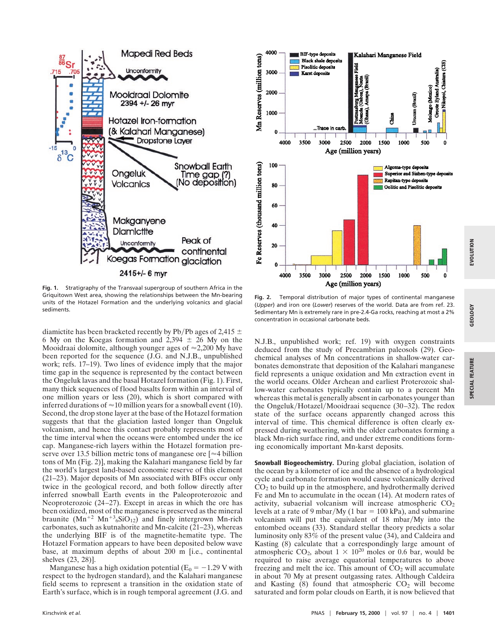

**Fig. 1.** Stratigraphy of the Transvaal supergroup of southern Africa in the Griquitown West area, showing the relationships between the Mn-bearing units of the Hotazel Formation and the underlying volcanics and glacial sediments.

diamictite has been bracketed recently by Pb/Pb ages of 2,415  $\pm$ 6 My on the Koegas formation and  $2,394 \pm 26$  My on the Mooidraai dolomite, although younger ages of  $\approx$  2,200 My have been reported for the sequence (J.G. and N.J.B., unpublished work; refs. 17–19). Two lines of evidence imply that the major time gap in the sequence is represented by the contact between the Ongeluk lavas and the basal Hotazel formation (Fig. 1). First, many thick sequences of flood basalts form within an interval of one million years or less (20), which is short compared with inferred durations of  $\approx 10$  million years for a snowball event (10). Second, the drop stone layer at the base of the Hotazel formation suggests that that the glaciation lasted longer than Ongeluk volcanism, and hence this contact probably represents most of the time interval when the oceans were entombed under the ice cap. Manganese-rich layers within the Hotazel formation preserve over 13.5 billion metric tons of manganese ore  $\approx 4$  billion tons of Mn (Fig. 2)], making the Kalahari manganese field by far the world's largest land-based economic reserve of this element (21–23). Major deposits of Mn associated with BIFs occur only twice in the geological record, and both follow directly after inferred snowball Earth events in the Paleoproterozoic and Neoproterozoic (24–27). Except in areas in which the ore has been oxidized, most of the manganese is preserved as the mineral braunite  $(Mn^{+2} Mn^{+3}6SiO_{12})$  and finely intergrown Mn-rich carbonates, such as kutnahorite and Mn-calcite (21–23), whereas the underlying BIF is of the magnetite-hematite type. The Hotazel Formation appears to have been deposited below wave base, at maximum depths of about 200 m [i.e., continental shelves (23, 28)].

Manganese has a high oxidation potential ( $E_0 = -1.29$  V with respect to the hydrogen standard), and the Kalahari manganese field seems to represent a transition in the oxidation state of Earth's surface, which is in rough temporal agreement (J.G. and



**Fig. 2.** Temporal distribution of major types of continental manganese (*Upper*) and iron ore (*Lower*) reserves of the world. Data are from ref. 23. Sedimentary Mn is extremely rare in pre-2.4-Ga rocks, reaching at most a 2% concentration in occasional carbonate beds.

N.J.B., unpublished work; ref. 19) with oxygen constraints deduced from the study of Precambrian paleosols (29). Geochemical analyses of Mn concentrations in shallow-water carbonates demonstrate that deposition of the Kalahari manganese field represents a unique oxidation and Mn extraction event in the world oceans. Older Archean and earliest Proterozoic shallow-water carbonates typically contain up to a percent Mn whereas this metal is generally absent in carbonates younger than the Ongeluk/Hotazel/Mooidraai sequence (30–32). The redox state of the surface oceans apparently changed across this interval of time. This chemical difference is often clearly expressed during weathering, with the older carbonates forming a black Mn-rich surface rind, and under extreme conditions forming economically important Mn-karst deposits.

**Snowball Biogeochemistry.** During global glaciation, isolation of the ocean by a kilometer of ice and the absence of a hydrological cycle and carbonate formation would cause volcanically derived  $CO<sub>2</sub>$  to build up in the atmosphere, and hydrothermally derived Fe and Mn to accumulate in the ocean (14). At modern rates of activity, subaerial volcanism will increase atmospheric CO<sub>2</sub> levels at a rate of 9 mbar/My (1 bar =  $100$  kPa), and submarine volcanism will put the equivalent of 18 mbar/My into the entombed oceans (33). Standard stellar theory predicts a solar luminosity only 83% of the present value (34), and Caldeira and Kasting (8) calculate that a correspondingly large amount of atmospheric CO<sub>2</sub>, about  $1 \times 10^{20}$  moles or 0.6 bar, would be required to raise average equatorial temperatures to above freezing and melt the ice. This amount of  $CO<sub>2</sub>$  will accumulate in about 70 My at present outgassing rates. Although Caldeira and Kasting  $(8)$  found that atmospheric  $CO<sub>2</sub>$  will become saturated and form polar clouds on Earth, it is now believed that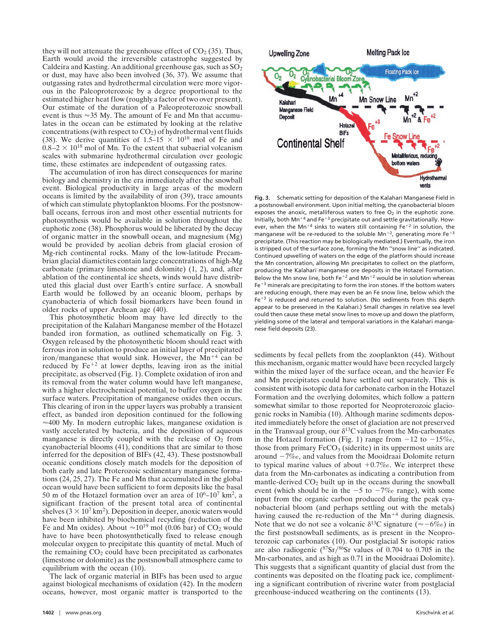they will not attenuate the greenhouse effect of  $CO<sub>2</sub>$  (35). Thus, Earth would avoid the irreversible catastrophe suggested by Caldeira and Kasting. An additional greenhouse gas, such as  $SO<sub>2</sub>$ or dust, may have also been involved (36, 37). We assume that outgassing rates and hydrothermal circulation were more vigorous in the Paleoproterozoic by a degree proportional to the estimated higher heat flow (roughly a factor of two over present). Our estimate of the duration of a Paleoproterozoic snowball event is thus  $\approx$ 35 My. The amount of Fe and Mn that accumulates in the ocean can be estimated by looking at the relative concentrations (with respect to  $CO<sub>2</sub>$ ) of hydrothermal vent fluids (38). We derive quantities of  $1.5-15 \times 10^{18}$  mol of Fe and  $0.8-2 \times 10^{18}$  mol of Mn. To the extent that subaerial volcanism scales with submarine hydrothermal circulation over geologic time, these estimates are independent of outgassing rates.

The accumulation of iron has direct consequences for marine biology and chemistry in the era immediately after the snowball event. Biological productivity in large areas of the modern oceans is limited by the availability of iron (39), trace amounts of which can stimulate phytoplankton blooms. For the postsnowball oceans, ferrous iron and most other essential nutrients for photosynthesis would be available in solution throughout the euphotic zone (38). Phosphorus would be liberated by the decay of organic matter in the snowball ocean, and magnesium (Mg) would be provided by aeolian debris from glacial erosion of Mg-rich continental rocks. Many of the low-latitude Precambrian glacial diamictites contain large concentrations of high-Mg carbonate (primary limestone and dolomite) (1, 2), and, after ablation of the continental ice sheets, winds would have distributed this glacial dust over Earth's entire surface. A snowball Earth would be followed by an oceanic bloom, perhaps by cyanobacteria of which fossil biomarkers have been found in older rocks of upper Archean age (40).

This photosynthetic bloom may have led directly to the precipitation of the Kalahari Manganese member of the Hotazel banded iron formation, as outlined schematically on Fig. 3. Oxygen released by the photosynthetic bloom should react with ferrous iron in solution to produce an initial layer of precipitated iron/manganese that would sink. However, the  $Mn^{+4}$  can be reduced by  $Fe^{+2}$  at lower depths, leaving iron as the initial precipitate, as observed (Fig. 1). Complete oxidation of iron and its removal from the water column would have left manganese, with a higher electrochemical potential, to buffer oxygen in the surface waters. Precipitation of manganese oxides then occurs. This clearing of iron in the upper layers was probably a transient effect, as banded iron deposition continued for the following  $\approx$  400 My. In modern eutrophic lakes, manganese oxidation is vastly accelerated by bacteria, and the deposition of aqueous manganese is directly coupled with the release of  $O<sub>2</sub>$  from cyanobacterial blooms (41), conditions that are similar to those inferred for the deposition of BIFs (42, 43). These postsnowball oceanic conditions closely match models for the deposition of both early and late Proterozoic sedimentary manganese formations (24, 25, 27). The Fe and Mn that accumulated in the global ocean would have been sufficient to form deposits like the basal 50 m of the Hotazel formation over an area of  $10^6$ – $10^7$  km<sup>2</sup>, a significant fraction of the present total area of continental shelves  $(3 \times 10^7 \text{ km}^2)$ . Deposition in deeper, anoxic waters would have been inhibited by biochemical recycling (reduction of the Fe and Mn oxides). About  $\approx 10^{19}$  mol (0.06 bar) of CO<sub>2</sub> would have to have been photosynthetically fixed to release enough molecular oxygen to precipitate this quantity of metal. Much of the remaining  $CO<sub>2</sub>$  could have been precipitated as carbonates (limestone or dolomite) as the postsnowball atmosphere came to equilibrium with the ocean (10).

The lack of organic material in BIFs has been used to argue against biological mechanisms of oxidation (42). In the modern oceans, however, most organic matter is transported to the



**Fig. 3.** Schematic setting for deposition of the Kalahari Manganese Field in a postsnowball environment. Upon initial melting, the cyanobacterial bloom exposes the anoxic, metalliferous waters to free  $O<sub>2</sub>$  in the euphotic zone. Initially, both Mn<sup>+4</sup> and Fe<sup>+3</sup> precipitate out and settle gravitationally. However, when the Mn<sup>+4</sup> sinks to waters still containing Fe<sup>+2</sup> in solution, the manganese will be re-reduced to the soluble  $Mn^{+2}$ , generating more Fe<sup>+3</sup> precipitate. (This reaction may be biologically mediated.) Eventually, the iron is stripped out of the surface zone, forming the Mn ''snow line'' as indicated. Continued upwelling of waters on the edge of the platform should increase the Mn concentration, allowing Mn precipitates to collect on the platform, producing the Kalahari manganese ore deposits in the Hotazel Formation. Below the Mn snow line, both Fe<sup>+2</sup> and Mn<sup>+2</sup> would be in solution whereas  $Fe^{+3}$  minerals are precipitating to form the iron stones. If the bottom waters are reducing enough, there may even be an Fe snow line, below which the  $Fe<sup>+3</sup>$  is reduced and returned to solution. (No sediments from this depth appear to be preserved in the Kalahari.) Small changes in relative sea level could then cause these metal snow lines to move up and down the platform, yielding some of the lateral and temporal variations in the Kalahari manganese field deposits (23).

sediments by fecal pellets from the zooplankton (44). Without this mechanism, organic matter would have been recycled largely within the mixed layer of the surface ocean, and the heavier Fe and Mn precipitates could have settled out separately. This is consistent with isotopic data for carbonate carbon in the Hotazel Formation and the overlying dolomites, which follow a pattern somewhat similar to those reported for Neoproterozoic glaciogenic rocks in Namibia (10). Although marine sediments deposited immediately before the onset of glaciation are not preserved in the Transvaal group, our  $\delta^{13}$ C values from the Mn-carbonates in the Hotazel formation (Fig. 1) range from  $-12$  to  $-15\%$ . those from primary  $FeCO<sub>3</sub>$  (siderite) in its uppermost units are around  $-7\%$ , and values from the Mooidraai Dolomite return to typical marine values of about  $+0.7\%$ . We interpret these data from the Mn-carbonates as indicating a contribution from mantle-derived  $CO<sub>2</sub>$  built up in the oceans during the snowball event (which should be in the  $-5$  to  $-7\%$  range), with some input from the organic carbon produced during the peak cyanobacterial bloom (and perhaps settling out with the metals) having caused the re-reduction of the  $Mn^{+4}$  during diagnesis. Note that we do not see a volcanic  $\delta^{13}$ C signature ( $\approx -6\%$ ) in the first postsnowball sediments, as is present in the Neoproterozoic cap carbonates (10). Our postglacial Sr isotopic ratios are also radiogenic  $({}^{87}\text{Sr}){}^{86}\text{Sr}$  values of 0.704 to 0.705 in the Mn-carbonates, and as high as 0.71 in the Mooidraai Dolomite). This suggests that a significant quantity of glacial dust from the continents was deposited on the floating pack ice, complimenting a significant contribution of riverine water from postglacial greenhouse-induced weathering on the continents (13).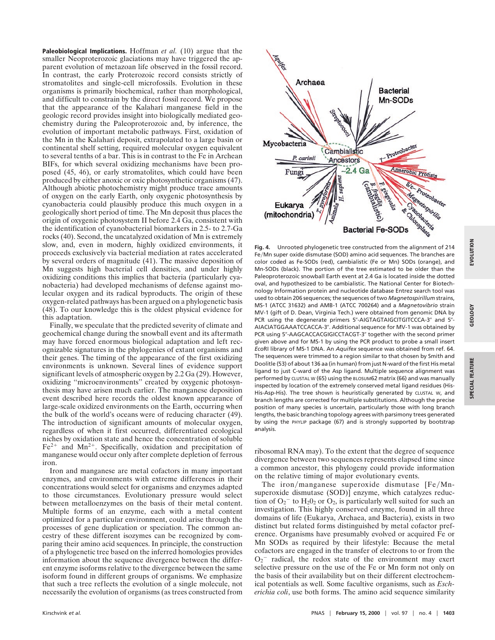**Paleobiological Implications.** Hoffman *et al.* (10) argue that the smaller Neoproterozoic glaciations may have triggered the apparent evolution of metazoan life observed in the fossil record. In contrast, the early Proterozoic record consists strictly of stromatolites and single-cell microfossils. Evolution in these organisms is primarily biochemical, rather than morphological, and difficult to constrain by the direct fossil record. We propose that the appearance of the Kalahari manganese field in the geologic record provides insight into biologically mediated geochemistry during the Paleoproterozoic and, by inference, the evolution of important metabolic pathways. First, oxidation of the Mn in the Kalahari deposit, extrapolated to a large basin or continental shelf setting, required molecular oxygen equivalent to several tenths of a bar. This is in contrast to the Fe in Archean BIFs, for which several oxidizing mechanisms have been proposed (45, 46), or early stromatolites, which could have been produced by either anoxic or oxic photosynthetic organisms (47). Although abiotic photochemistry might produce trace amounts of oxygen on the early Earth, only oxygenic photosynthesis by cyanobacteria could plausibly produce this much oxygen in a geologically short period of time. The Mn deposit thus places the origin of oxygenic photosystem II before 2.4 Ga, consistent with the identification of cyanobacterial biomarkers in 2.5- to 2.7-Ga rocks (40). Second, the uncatalyzed oxidation of Mn is extremely slow, and, even in modern, highly oxidized environments, it proceeds exclusively via bacterial mediation at rates accelerated by several orders of magnitude (41). The massive deposition of Mn suggests high bacterial cell densities, and under highly oxidizing conditions this implies that bacteria (particularly cyanobacteria) had developed mechanisms of defense against molecular oxygen and its radical byproducts. The origin of these oxygen-related pathways has been argued on a phylogenetic basis (48). To our knowledge this is the oldest physical evidence for this adaptation.

Finally, we speculate that the predicted severity of climate and geochemical change during the snowball event and its aftermath may have forced enormous biological adaptation and left recognizable signatures in the phylogenies of extant organisms and their genes. The timing of the appearance of the first oxidizing environments is unknown. Several lines of evidence support significant levels of atmospheric oxygen by 2.2 Ga (29). However, oxidizing ''microenvironments'' created by oxygenic photosynthesis may have arisen much earlier. The manganese deposition event described here records the oldest known appearance of large-scale oxidized environments on the Earth, occurring when the bulk of the world's oceans were of reducing character (49). The introduction of significant amounts of molecular oxygen, regardless of when it first occurred, differentiated ecological niches by oxidation state and hence the concentration of soluble  $Fe<sup>2+</sup>$  and Mn<sup>2+</sup>. Specifically, oxidation and precipitation of manganese would occur only after complete depletion of ferrous iron.

Iron and manganese are metal cofactors in many important enzymes, and environments with extreme differences in their concentrations would select for organisms and enzymes adapted to those circumstances. Evolutionary pressure would select between metalloenzymes on the basis of their metal content. Multiple forms of an enzyme, each with a metal content optimized for a particular environment, could arise through the processes of gene duplication or speciation. The common ancestry of these different isozymes can be recognized by comparing their amino acid sequences. In principle, the construction of a phylogenetic tree based on the inferred homologies provides information about the sequence divergence between the different enzyme isoforms relative to the divergence between the same isoform found in different groups of organisms. We emphasize that such a tree reflects the evolution of a single molecule, not necessarily the evolution of organisms (as trees constructed from



**Fig. 4.** Unrooted phylogenetic tree constructed from the alignment of 214 Fe/Mn super oxide dismutase (SOD) amino acid sequences. The branches are color coded as Fe-SODs (red), cambialistic (Fe or Mn) SODs (orange), and Mn-SODs (black). The portion of the tree estimated to be older than the Paleoproterozoic snowball Earth event at 2.4 Ga is located inside the dotted oval, and hypothesized to be cambialistic. The National Center for Biotechnology Information protein and nucleotide database Entrez search tool was used to obtain 206 sequences; the sequences of two *Magnetospirillum* strains, MS-1 (ATCC 31632) and AMB-1 (ATCC 700264) and a *Magnetovibrio* strain MV-1 (gift of D. Dean, Virginia Tech.) were obtained from genomic DNA by PCR using the degenerate primers 5"-AIGTAGTAIGCITGITCCCA-3" and 5"-AIACIATGGAAATCCACCA-3". Additional sequence for MV-1 was obtained by PCR using 5"-AAGCACCACGIGICCTACGT-3" together with the second primer given above and for MS-1 by using the PCR product to probe a small insert *Eco*RI library of MS-1 DNA. An *Aquifex* sequence was obtained from ref. 64. The sequences were trimmed to a region similar to that chosen by Smith and Doolitle (53) of about 136 aa (in human) from just N-ward of the first His metal ligand to just C-ward of the Asp ligand. Multiple sequence alignment was performed by CLUSTAL W (65) using the BLOSUM62 matrix (66) and was manually inspected by location of the extremely conserved metal ligand residues (His-His-Asp-His). The tree shown is heuristically generated by CLUSTAL W, and branch lengths are corrected for multiple substitutions. Although the precise position of many species is uncertain, particularly those with long branch lengths, the basic branching topology agrees with parsimony trees generated by using the PHYLIP package (67) and is strongly supported by bootstrap analysis.

ribosomal RNA may). To the extent that the degree of sequence divergence between two sequences represents elapsed time since a common ancestor, this phylogeny could provide information on the relative timing of major evolutionary events.

The iron/manganese superoxide dismutase  $[Fe/Mn$ superoxide dismutase (SOD)] enzyme, which catalyzes reduction of  $O_2$ <sup>-</sup> to  $H_2O_2$  or  $O_2$ , is particularly well suited for such an investigation. This highly conserved enzyme, found in all three domains of life (Eukarya, Archaea, and Bacteria), exists in two distinct but related forms distinguished by metal cofactor preference. Organisms have presumably evolved or acquired Fe or Mn SODs as required by their lifestyle: Because the metal cofactors are engaged in the transfer of electrons to or from the  $O_2$ <sup>-</sup> radical, the redox state of the environment may exert selective pressure on the use of the Fe or Mn form not only on the basis of their availability but on their different electrochemical potentials as well. Some facultive organisms, such as *Escherichia coli*, use both forms. The amino acid sequence similarity **SPECIAL FEATURE**

**SPECIAL** 

FEATURE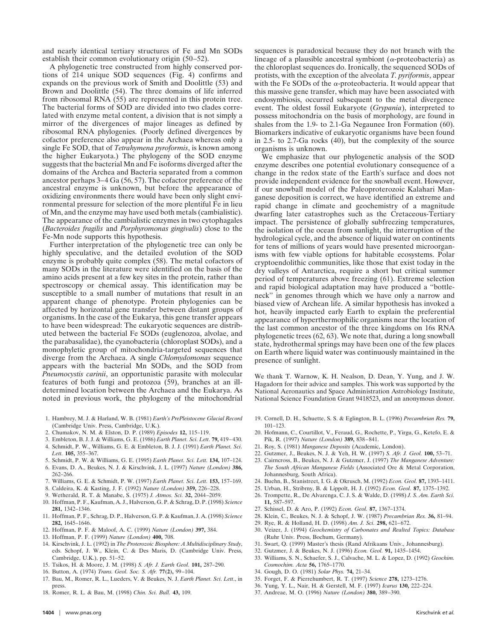and nearly identical tertiary structures of Fe and Mn SODs establish their common evolutionary origin (50–52).

A phylogenetic tree constructed from highly conserved portions of 214 unique SOD sequences (Fig. 4) confirms and expands on the previous work of Smith and Doolittle (53) and Brown and Doolittle (54). The three domains of life inferred from ribosomal RNA (55) are represented in this protein tree. The bacterial forms of SOD are divided into two clades correlated with enzyme metal content, a division that is not simply a mirror of the divergences of major lineages as defined by ribosomal RNA phylogenies. (Poorly defined divergences by cofactor preference also appear in the Archaea whereas only a single Fe SOD, that of *Tetrahymena pyroformis*, is known among the higher Eukaryota.) The phylogeny of the SOD enzyme suggests that the bacterial Mn and Fe isoforms diverged after the domains of the Archea and Bacteria separated from a common ancestor perhaps 3–4 Ga (56, 57). The cofactor preference of the ancestral enzyme is unknown, but before the appearance of oxidizing environments there would have been only slight environmental pressure for selection of the more plentiful Fe in lieu of Mn, and the enzyme may have used both metals (cambialistic). The appearance of the cambialistic enzymes in two cytophagales (*Bacteroides fragilis* and *Porphyromonas gingivalis*) close to the Fe-Mn node supports this hypothesis.

Further interpretation of the phylogenetic tree can only be highly speculative, and the detailed evolution of the SOD enzyme is probably quite complex (58). The metal cofactors of many SODs in the literature were identified on the basis of the amino acids present at a few key sites in the protein, rather than spectroscopy or chemical assay. This identification may be susceptible to a small number of mutations that result in an apparent change of phenotype. Protein phylogenies can be affected by horizontal gene transfer between distant groups of organisms. In the case of the Eukarya, this gene transfer appears to have been widespread: The eukaryotic sequences are distributed between the bacterial Fe SODs (euglenozoa, alvolae, and the parabasalidae), the cyanobacteria (chloroplast SODs), and a monophyletic group of mitochondria-targeted sequences that diverge from the Archaea. A single *Chlomydomonas* sequence appears with the bacterial Mn SODs, and the SOD from *Pneumocystis carinii*, an opportunistic parasite with molecular features of both fungi and protozoa (59), branches at an illdetermined location between the Archaea and the Eukarya. As noted in previous work, the phylogeny of the mitochondrial

- 1. Hambrey, M. J. & Harland, W. B. (1981) *Earth's PrePleistocene Glacial Record* (Cambridge Univ. Press, Cambridge, U.K.).
- 2. Chumakov, N. M. & Elston, D. P. (1989) *Episodes* **12,** 115–119.
- 3. Embleton, B. J. J. & Williams, G. E. (1986) *Earth Planet. Sci. Lett.* **79,** 419–430. 4. Schmidt, P. W., Williams, G. E. & Embleton, B. J. J. (1991) *Earth Planet. Sci.*
- *Lett.* **105,** 355–367. 5. Schmidt, P. W. & Williams, G. E. (1995) *Earth Planet. Sci. Lett.* **134,** 107–124.
- 6. Evans, D. A., Beukes, N. J. & Kirschvink, J. L. (1997) *Nature (London)* **386,** 262–266.
- 7. Williams, G. E. & Schmidt, P. W. (1997) *Earth Planet. Sci. Lett.* **153,** 157–169.
- 8. Caldeira, K. & Kasting, J. F. (1992) *Nature (London)* **359,** 226–228.
- 9. Wetherald, R. T. & Manabe, S. (1975) *J. Atmos. Sci.* **32,** 2044–2059.
- 10. Hoffman, P. F., Kaufman, A. J., Halverson, G. P. & Schrag, D. P. (1998) *Science* **281,** 1342–1346.
- 11. Hoffman, P. F., Schrag, D. P., Halverson, G. P. & Kaufman, J. A. (1998) *Science* **282,** 1645–1646.
- 12. Hoffman, P. F. & Maloof, A. C. (1999) *Nature (London)* **397,** 384.
- 13. Hoffman, P. F. (1999) *Nature (London)* **400,** 708.
- 14. Kirschvink, J. L. (1992) in *The Proterozoic Biosphere: A Multidisciplinary Study*, eds. Schopf, J. W., Klein, C. & Des Maris, D. (Cambridge Univ. Press, Cambridge, U.K.), pp. 51–52.
- 15. Tsikos, H. & Moore, J. M. (1998) *S. Afr. J. Earth Geol.* **101,** 287–290.
- 16. Button, A. (1974) *Trans. Geol. Soc. S. Afr.* **77(2),** 99–104.
- 17. Bau, M., Romer, R. L., Lueders, V. & Beukes, N. J. *Earth Planet. Sci. Lett*., in press.
- 18. Romer, R. L. & Bau, M. (1998) *Chin. Sci. Bull.* **43,** 109.

sequences is paradoxical because they do not branch with the lineage of a plausible ancestral symbiont ( $\alpha$ -proteobacteria) as the chloroplast sequences do. Ironically, the sequenced SODs of protists, with the exception of the alveolata *T. pyriformis*, appear with the Fe SODs of the  $\alpha$ -proteobacteria. It would appear that this massive gene transfer, which may have been associated with endosymbiosis, occurred subsequent to the metal divergence event. The oldest fossil Eukaryote (*Grypania*), interpreted to possess mitochondria on the basis of morphology, are found in shales from the 1.9- to 2.1-Ga Negaunee Iron Formation (60). Biomarkers indicative of eukaryotic organisms have been found in 2.5- to 2.7-Ga rocks (40), but the complexity of the source organisms is unknown.

We emphasize that our phylogenetic analysis of the SOD enzyme describes one potential evolutionary consequence of a change in the redox state of the Earth's surface and does not provide independent evidence for the snowball event. However, if our snowball model of the Paleoproterozoic Kalahari Manganese deposition is correct, we have identified an extreme and rapid change in climate and geochemistry of a magnitude dwarfing later catastrophes such as the Cretaceous-Tertiary impact. The persistence of globally subfreezing temperatures, the isolation of the ocean from sunlight, the interruption of the hydrological cycle, and the absence of liquid water on continents for tens of millions of years would have presented microorganisms with few viable options for habitable ecosystems. Polar cryptoendolithic communities, like those that exist today in the dry valleys of Antarctica, require a short but critical summer period of temperatures above freezing (61). Extreme selection and rapid biological adaptation may have produced a ''bottleneck'' in genomes through which we have only a narrow and biased view of Archean life. A similar hypothesis has invoked a hot, heavily impacted early Earth to explain the preferential appearance of hyperthermophilic organisms near the location of the last common ancestor of the three kingdoms on 16s RNA phylogenetic trees (62, 63). We note that, during a long snowball state, hydrothermal springs may have been one of the few places on Earth where liquid water was continuously maintained in the presence of sunlight.

We thank T. Warnow, K. H. Nealson, D. Dean, Y. Yung, and J. W. Hagadorn for their advice and samples. This work was supported by the National Aeronautics and Space Administration Astrobiology Institute, National Science Foundation Grant 9418523, and an anonymous donor.

- 19. Cornell, D. H., Schuette, S. S. & Eglington, B. L. (1996) *Precambrian Res.* **79,** 101–123.
- 20. Hofmann, C., Courtillot, V., Feraud, G., Rochette, P., Yirgu, G., Ketefo, E. & Pik, R. (1997) *Nature (London)* **389,** 838–841.
- 21. Roy, S. (1981) *Manganese Deposits* (Academic, London).
- 22. Gutzmer, J., Beukes, N. J. & Yeh, H. W. (1997) *S. Afr. J. Geol.* **100,** 53–71.
- 23. Cairncross, B., Beukes, N. J. & Gutzmer, J. (1997) *The Manganese Adventure: The South African Manganese Fields* (Associated Ore & Metal Corporation, Johannesburg, South Africa).
- 24. Buehn, B., Stanistreet, I. G. & Okrusch, M. (1992) *Econ. Geol.* **87,** 1393–1411.
- 25. Urban, H., Stribrny, B. & Lippolt, H. J. (1992) *Econ. Geol.* **87,** 1375–1392.
- 26. Trompette, R., De Alvarenga, C. J. S. & Walde, D. (1998) *J. S. Am. Earth Sci.* **11,** 587–597.
- 27. Schissel, D. & Aro, P. (1992) *Econ. Geol.* **87,** 1367–1374.
- 28. Klein, C., Beukes, N. J. & Schopf, J. W. (1987) *Precambrian Res.* **36,** 81–94.
- 29. Rye, R. & Holland, H. D. (1998) *Am. J. Sci.* **298,** 621–672.
- 30. Veizer, J. (1994) *Geochemistry of Carbonates and Realted Topics: Database* (Ruhr Univ. Press, Bochum, Germany).
- 31. Swart, Q. (1999) Master's thesis (Rand Afrikaans Univ., Johannesburg).
- 32. Gutzmer, J. & Beukes, N. J. (1996) *Econ. Geol.* **91,** 1435–1454.
- 33. Williams, S. N., Schaefer, S. J., Calvache, M. L. & Lopez, D. (1992) *Geochim. Cosmochim. Acta* **56,** 1765–1770.
- 34. Gough, D. O. (1981) *Solar Phys.* **74,** 21–34.
- 35. Forget, F. & Pierrehumbert, R. T. (1997) *Science* **278,** 1273–1276.
- 36. Yung, Y. L., Nair, H. & Gerstell, M. F. (1997) *Icarus* **130,** 222–224.
- 37. Andreae, M. O. (1996) *Nature (London)* **380,** 389–390.